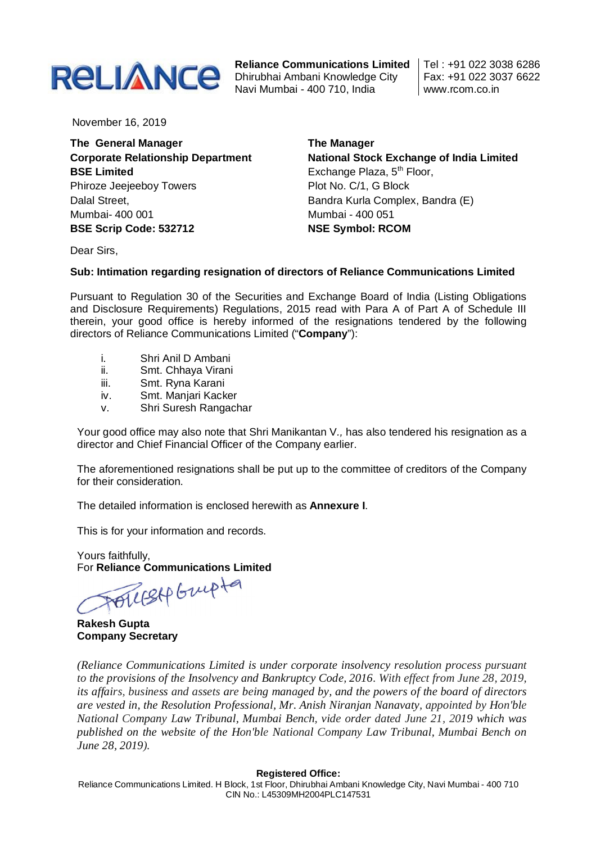

**Reliance Communications Limited** Navi Mumbai - 400 710, India

Tel : +91 022 3038 6286 Fax: +91 022 3037 6622 www.rcom.co.in

November 16, 2019

**The General Manager Corporate Relationship Department BSE Limited** Phiroze Jeejeeboy Towers Dalal Street, Mumbai- 400 001 **BSE Scrip Code: 532712**

**The Manager National Stock Exchange of India Limited** Exchange Plaza, 5<sup>th</sup> Floor, Plot No. C/1, G Block Bandra Kurla Complex, Bandra (E) Mumbai - 400 051 **NSE Symbol: RCOM**

Dear Sirs,

## **Sub: Intimation regarding resignation of directors of Reliance Communications Limited**

Pursuant to Regulation 30 of the Securities and Exchange Board of India (Listing Obligations and Disclosure Requirements) Regulations, 2015 read with Para A of Part A of Schedule III therein, your good office is hereby informed of the resignations tendered by the following directors of Reliance Communications Limited ("**Company**"):

- i. Shri Anil D Ambani
- ii. Smt. Chhaya Virani
- iii. Smt. Ryna Karani
- iv. Smt. Manjari Kacker
- v. Shri Suresh Rangachar

Your good office may also note that Shri Manikantan V*.,* has also tendered his resignation as a director and Chief Financial Officer of the Company earlier.

The aforementioned resignations shall be put up to the committee of creditors of the Company for their consideration.

The detailed information is enclosed herewith as **Annexure I**.

This is for your information and records.

Yours faithfully, For **Reliance Communications Limited**

POLLESAP Grupta

**Rakesh Gupta Company Secretary**

*(Reliance Communications Limited is under corporate insolvency resolution process pursuant to the provisions of the Insolvency and Bankruptcy Code, 2016. With effect from June 28, 2019, its affairs, business and assets are being managed by, and the powers of the board of directors are vested in, the Resolution Professional, Mr. Anish Niranjan Nanavaty, appointed by Hon'ble National Company Law Tribunal, Mumbai Bench, vide order dated June 21, 2019 which was published on the website of the Hon'ble National Company Law Tribunal, Mumbai Bench on June 28, 2019).* 

#### **Registered Office:**

Reliance Communications Limited. H Block, 1st Floor, Dhirubhai Ambani Knowledge City, Navi Mumbai - 400 710 CIN No.: L45309MH2004PLC147531